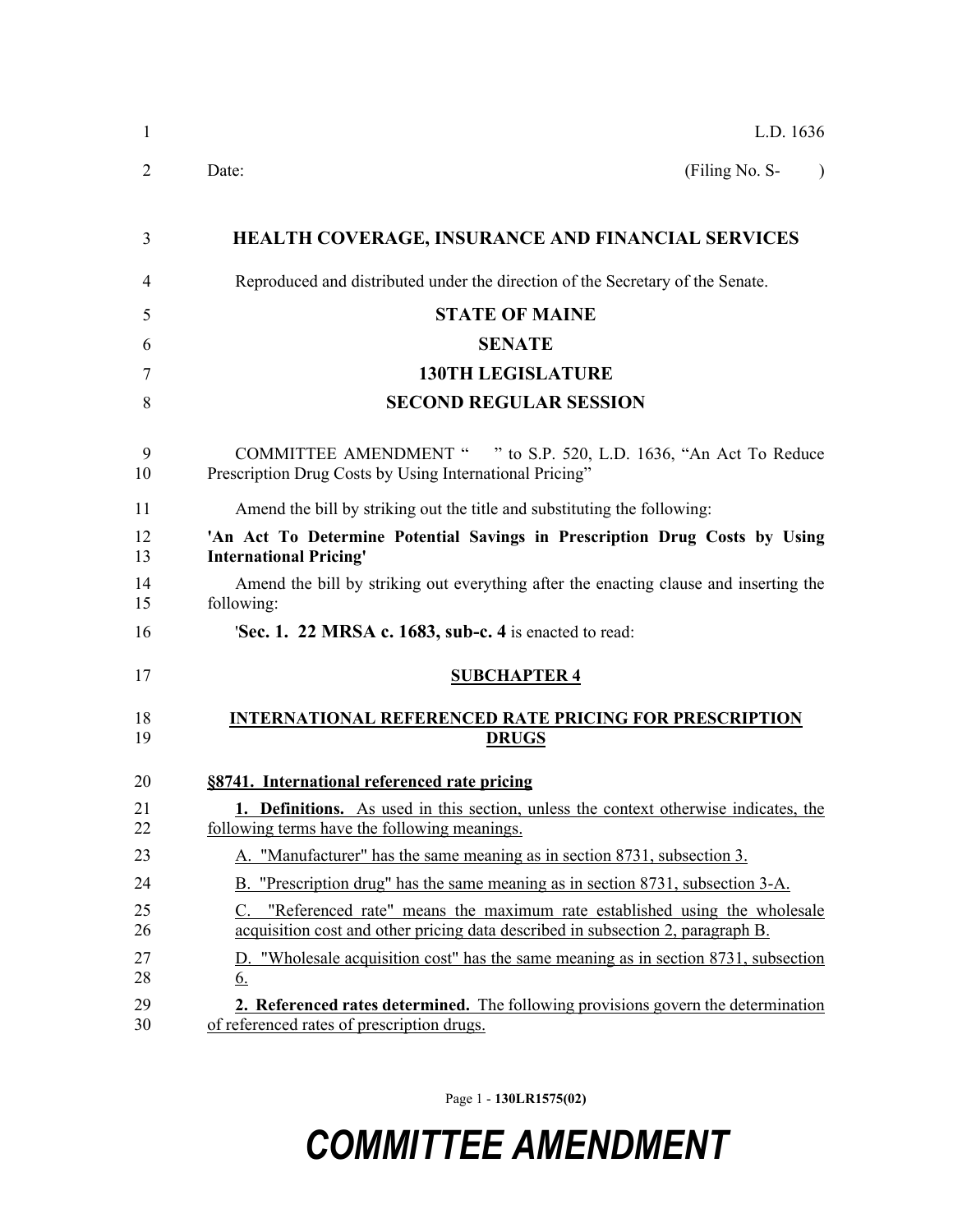| L.D. 1636                                                                                                                                                                     |
|-------------------------------------------------------------------------------------------------------------------------------------------------------------------------------|
| (Filing No. S-<br>Date:                                                                                                                                                       |
| <b>HEALTH COVERAGE, INSURANCE AND FINANCIAL SERVICES</b>                                                                                                                      |
| Reproduced and distributed under the direction of the Secretary of the Senate.                                                                                                |
| <b>STATE OF MAINE</b>                                                                                                                                                         |
| <b>SENATE</b>                                                                                                                                                                 |
| <b>130TH LEGISLATURE</b>                                                                                                                                                      |
| <b>SECOND REGULAR SESSION</b>                                                                                                                                                 |
| COMMITTEE AMENDMENT " " to S.P. 520, L.D. 1636, "An Act To Reduce<br>Prescription Drug Costs by Using International Pricing"                                                  |
| Amend the bill by striking out the title and substituting the following:                                                                                                      |
| 'An Act To Determine Potential Savings in Prescription Drug Costs by Using<br><b>International Pricing'</b>                                                                   |
| Amend the bill by striking out everything after the enacting clause and inserting the<br>following:                                                                           |
| <b>Sec. 1. 22 MRSA c. 1683, sub-c. 4</b> is enacted to read:                                                                                                                  |
| <b>SUBCHAPTER 4</b>                                                                                                                                                           |
| <b>INTERNATIONAL REFERENCED RATE PRICING FOR PRESCRIPTION</b><br><b>DRUGS</b>                                                                                                 |
| §8741. International referenced rate pricing                                                                                                                                  |
| 1. Definitions. As used in this section, unless the context otherwise indicates, the<br>following terms have the following meanings.                                          |
| A. "Manufacturer" has the same meaning as in section 8731, subsection 3.                                                                                                      |
| B. "Prescription drug" has the same meaning as in section 8731, subsection 3-A.                                                                                               |
| "Referenced rate" means the maximum rate established using the wholesale<br>$\mathbf{C}$ .<br>acquisition cost and other pricing data described in subsection 2, paragraph B. |
| D. "Wholesale acquisition cost" has the same meaning as in section 8731, subsection<br><u>6.</u>                                                                              |
| 2. Referenced rates determined. The following provisions govern the determination<br>of referenced rates of prescription drugs.                                               |

Page 1 - **130LR1575(02)**

## *COMMITTEE AMENDMENT*